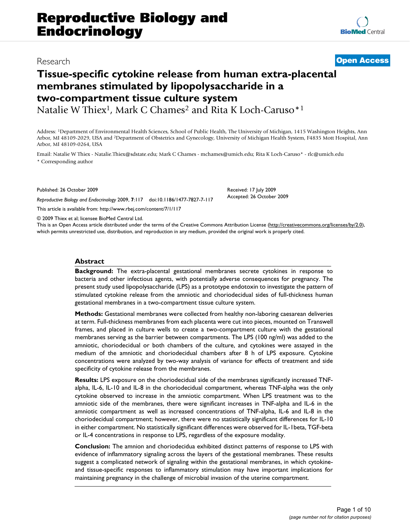Natalie W Thiex<sup>1</sup>, Mark C Chames<sup>2</sup> and Rita K Loch-Caruso<sup>\*1</sup>

Address: 1Department of Environmental Health Sciences, School of Public Health, The University of Michigan, 1415 Washington Heights, Ann Arbor, MI 48109-2029, USA and 2Department of Obstetrics and Gynecology, University of Michigan Health System, F4835 Mott Hospital, Ann Arbor, MI 48109-0264, USA

Email: Natalie W Thiex - Natalie.Thiex@sdstate.edu; Mark C Chames - mchames@umich.edu; Rita K Loch-Caruso\* - rlc@umich.edu \* Corresponding author

Published: 26 October 2009

*Reproductive Biology and Endocrinology* 2009, **7**:117 doi:10.1186/1477-7827-7-117

[This article is available from: http://www.rbej.com/content/7/1/117](http://www.rbej.com/content/7/1/117)

© 2009 Thiex et al; licensee BioMed Central Ltd.

This is an Open Access article distributed under the terms of the Creative Commons Attribution License [\(http://creativecommons.org/licenses/by/2.0\)](http://creativecommons.org/licenses/by/2.0), which permits unrestricted use, distribution, and reproduction in any medium, provided the original work is properly cited.

Received: 17 July 2009 Accepted: 26 October 2009

## **Abstract**

**Background:** The extra-placental gestational membranes secrete cytokines in response to bacteria and other infectious agents, with potentially adverse consequences for pregnancy. The present study used lipopolysaccharide (LPS) as a prototype endotoxin to investigate the pattern of stimulated cytokine release from the amniotic and choriodecidual sides of full-thickness human gestational membranes in a two-compartment tissue culture system.

**Methods:** Gestational membranes were collected from healthy non-laboring caesarean deliveries at term. Full-thickness membranes from each placenta were cut into pieces, mounted on Transwell frames, and placed in culture wells to create a two-compartment culture with the gestational membranes serving as the barrier between compartments. The LPS (100 ng/ml) was added to the amniotic, choriodecidual or both chambers of the culture, and cytokines were assayed in the medium of the amniotic and choriodecidual chambers after 8 h of LPS exposure. Cytokine concentrations were analyzed by two-way analysis of variance for effects of treatment and side specificity of cytokine release from the membranes.

**Results:** LPS exposure on the choriodecidual side of the membranes significantly increased TNFalpha, IL-6, IL-10 and IL-8 in the choriodecidual compartment, whereas TNF-alpha was the only cytokine observed to increase in the amniotic compartment. When LPS treatment was to the amniotic side of the membranes, there were significant increases in TNF-alpha and IL-6 in the amniotic compartment as well as increased concentrations of TNF-alpha, IL-6 and IL-8 in the choriodecidual compartment; however, there were no statistically significant differences for IL-10 in either compartment. No statistically significant differences were observed for IL-1beta, TGF-beta or IL-4 concentrations in response to LPS, regardless of the exposure modality.

**Conclusion:** The amnion and choriodecidua exhibited distinct patterns of response to LPS with evidence of inflammatory signaling across the layers of the gestational membranes. These results suggest a complicated network of signaling within the gestational membranes, in which cytokineand tissue-specific responses to inflammatory stimulation may have important implications for maintaining pregnancy in the challenge of microbial invasion of the uterine compartment.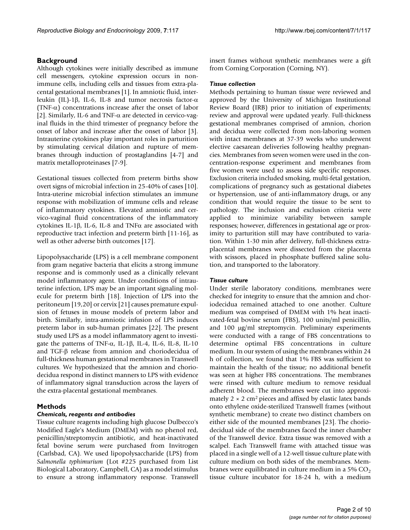# **Background**

Although cytokines were initially described as immune cell messengers, cytokine expression occurs in nonimmune cells, including cells and tissues from extra-placental gestational membranes [[1](#page-8-0)]. In amniotic fluid, interleukin (IL)-1β, IL-6, IL-8 and tumor necrosis factor-α (TNF- $\alpha$ ) concentrations increase after the onset of labor [[2\]](#page-8-1). Similarly, IL-6 and TNF- $\alpha$  are detected in cervico-vaginal fluids in the third trimester of pregnancy before the onset of labor and increase after the onset of labor [[3](#page-8-2)]. Intrauterine cytokines play important roles in parturition by stimulating cervical dilation and rupture of membranes through induction of prostaglandins [[4](#page-8-3)[-7\]](#page-8-4) and matrix metalloproteinases [[7](#page-8-4)[-9\]](#page-8-5).

Gestational tissues collected from preterm births show overt signs of microbial infection in 25-40% of cases [\[10](#page-8-6)]. Intra-uterine microbial infection stimulates an immune response with mobilization of immune cells and release of inflammatory cytokines. Elevated amniotic and cervico-vaginal fluid concentrations of the inflammatory cytokines IL-1β, IL-6, IL-8 and TNFα are associated with reproductive tract infection and preterm birth [\[11](#page-8-7)[-16\]](#page-8-8), as well as other adverse birth outcomes [[17\]](#page-8-9).

Lipopolysaccharide (LPS) is a cell membrane component from gram negative bacteria that elicits a strong immune response and is commonly used as a clinically relevant model inflammatory agent. Under conditions of intrauterine infection, LPS may be an important signaling molecule for preterm birth [\[18](#page-8-10)]. Injection of LPS into the peritoneum [\[19](#page-8-11)[,20](#page-8-12)] or cervix [[21\]](#page-8-13) causes premature expulsion of fetuses in mouse models of preterm labor and birth. Similarly, intra-amniotic infusion of LPS induces preterm labor in sub-human primates [[22\]](#page-8-14). The present study used LPS as a model inflammatory agent to investigate the patterns of TNF- $\alpha$ , IL-1β, IL-4, IL-6, IL-8, IL-10 and TGF-β release from amnion and choriodecidua of full-thickness human gestational membranes in Transwell cultures. We hypothesized that the amnion and choriodecidua respond in distinct manners to LPS with evidence of inflammatory signal transduction across the layers of the extra-placental gestational membranes.

## **Methods**

## *Chemicals, reagents and antibodies*

Tissue culture reagents including high glucose Dulbecco's Modified Eagle's Medium (DMEM) with no phenol red, penicillin/streptomycin antibiotic, and heat-inactivated fetal bovine serum were purchased from Invitrogen (Carlsbad, CA). We used lipopolysaccharide (LPS) from *Salmonella typhimurium* (Lot #225 purchased from List Biological Laboratory, Campbell, CA) as a model stimulus to ensure a strong inflammatory response. Transwell

insert frames without synthetic membranes were a gift from Corning Corporation (Corning, NY).

# *Tissue collection*

Methods pertaining to human tissue were reviewed and approved by the University of Michigan Institutional Review Board (IRB) prior to initiation of experiments; review and approval were updated yearly. Full-thickness gestational membranes comprised of amnion, chorion and decidua were collected from non-laboring women with intact membranes at 37-39 weeks who underwent elective caesarean deliveries following healthy pregnancies. Membranes from seven women were used in the concentration-response experiment and membranes from five women were used to assess side specific responses. Exclusion criteria included smoking, multi-fetal gestation, complications of pregnancy such as gestational diabetes or hypertension, use of anti-inflammatory drugs, or any condition that would require the tissue to be sent to pathology. The inclusion and exclusion criteria were applied to minimize variability between sample responses; however, differences in gestational age or proximity to parturition still may have contributed to variation. Within 1-30 min after delivery, full-thickness extraplacental membranes were dissected from the placenta with scissors, placed in phosphate buffered saline solution, and transported to the laboratory.

## *Tissue culture*

Under sterile laboratory conditions, membranes were checked for integrity to ensure that the amnion and choriodecidua remained attached to one another. Culture medium was comprised of DMEM with 1% heat inactivated-fetal bovine serum (FBS), 100 units/ml penicillin, and 100 μg/ml streptomycin. Preliminary experiments were conducted with a range of FBS concentrations to determine optimal FBS concentrations in culture medium. In our system of using the membranes within 24 h of collection, we found that 1% FBS was sufficient to maintain the health of the tissue; no additional benefit was seen at higher FBS concentrations. The membranes were rinsed with culture medium to remove residual adherent blood. The membranes were cut into approximately  $2 \times 2$  cm<sup>2</sup> pieces and affixed by elastic latex bands onto ethylene oxide-sterilized Transwell frames (without synthetic membrane) to create two distinct chambers on either side of the mounted membranes [\[23](#page-8-15)]. The choriodecidual side of the membranes faced the inner chamber of the Transwell device. Extra tissue was removed with a scalpel. Each Transwell frame with attached tissue was placed in a single well of a 12-well tissue culture plate with culture medium on both sides of the membranes. Membranes were equilibrated in culture medium in a  $5\%$  CO<sub>2</sub> tissue culture incubator for 18-24 h, with a medium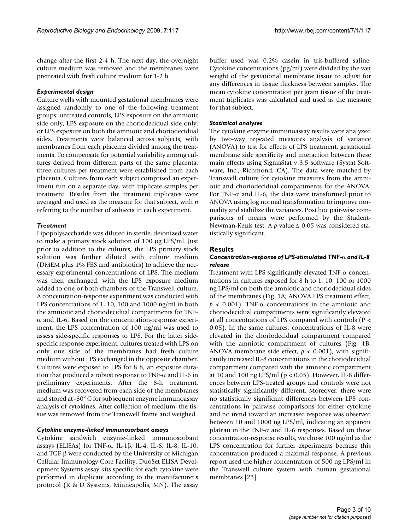change after the first 2-4 h. The next day, the overnight culture medium was removed and the membranes were pretreated with fresh culture medium for 1-2 h.

# *Experimental design*

Culture wells with mounted gestational membranes were assigned randomly to one of the following treatment groups: untreated controls, LPS exposure on the amniotic side only, LPS exposure on the choriodecidual side only, or LPS exposure on both the amniotic and choriodecidual sides. Treatments were balanced across subjects, with membranes from each placenta divided among the treatments. To compensate for potential variability among cultures derived from different parts of the same placenta, three cultures per treatment were established from each placenta. Cultures from each subject comprised an experiment run on a separate day, with triplicate samples per treatment. Results from the treatment triplicates were averaged and used as the measure for that subject, with *n* referring to the number of subjects in each experiment.

# *Treatment*

Lipopolysaccharide was diluted in sterile, deionized water to make a primary stock solution of 100 μg LPS/ml. Just prior to addition to the cultures, the LPS primary stock solution was further diluted with culture medium (DMEM plus 1% FBS and antibiotics) to achieve the necessary experimental concentrations of LPS. The medium was then exchanged, with the LPS exposure medium added to one or both chambers of the Transwell culture. A concentration-response experiment was conducted with LPS concentrations of 1, 10, 100 and 1000 ng/ml in both the amniotic and choriodecidual compartments for TNFα and IL-6. Based on the concentration-response experiment, the LPS concentration of 100 ng/ml was used to assess side-specific responses to LPS. For the latter sidespecific response experiment, cultures treated with LPS on only one side of the membranes had fresh culture medium without LPS exchanged in the opposite chamber. Cultures were exposed to LPS for 8 h, an exposure duration that produced a robust response to TNF- $\alpha$  and IL-6 in preliminary experiments. After the 8-h treatment, medium was recovered from each side of the membranes and stored at -80°C for subsequent enzyme immunoassay analysis of cytokines. After collection of medium, the tissue was removed from the Transwell frame and weighed.

## *Cytokine enzyme-linked immunosorbant assays*

Cytokine sandwich enzyme-linked immunosorbant assays (ELISAs) for TNF-α, IL-1β, IL-4, IL-6, IL-8, IL-10, and TGF-β were conducted by the University of Michigan Cellular Immunology Core Facility. DuoSet ELISA Development Systems assay kits specific for each cytokine were performed in duplicate according to the manufacturer's protocol (R & D Systems, Minneapolis, MN). The assay buffer used was 0.2% casein in tris-buffered saline. Cytokine concentrations (pg/ml) were divided by the wet weight of the gestational membrane tissue to adjust for any differences in tissue thickness between samples. The mean cytokine concentration per gram tissue of the treatment triplicates was calculated and used as the measure for that subject.

# *Statistical analyses*

The cytokine enzyme immunoassay results were analyzed by two-way repeated measures analysis of variance (ANOVA) to test for effects of LPS treatment, gestational membrane side specificity and interaction between these main effects using SigmaStat v 3.5 software (Systat Software, Inc., Richmond, CA). The data were matched by Transwell culture for cytokine measures from the amniotic and choriodecidual compartments for the ANOVA. For TNF- $\alpha$  and IL-6, the data were transformed prior to ANOVA using log normal transformation to improve normality and stabilize the variances. Post hoc pair-wise comparisons of means were performed by the Student-Newman-Keuls test. A *p*-value ≤ 0.05 was considered statistically significant.

# **Results**

# *Concentration-response of LPS-stimulated TNF-*α *and IL-8 release*

Treatment with LPS significantly elevated TNF-α concentrations in cultures exposed for 8 h to 1, 10, 100 or 1000 ng LPS/ml on both the amniotic and choriodecidual sides of the membranes (Fig. [1A](#page-3-0); ANOVA LPS treatment effect,  $p < 0.001$ ). TNF- $\alpha$  concentrations in the amniotic and choriodecidual compartments were significantly elevated at all concentrations of LPS compared with controls (P < 0.05). In the same cultures, concentrations of IL-8 were elevated in the choriodecidual compartment compared with the amniotic compartment of cultures (Fig. [1B](#page-3-0); ANOVA membrane side effect,  $p < 0.001$ ), with significantly increased IL-8 concentrations in the choriodecidual compartment compared with the amniotic compartment at 10 and 100 ng LPS/ml ( $p < 0.05$ ). However, IL-8 differences between LPS-treated groups and controls were not statistically significantly different. Moreover, there were no statistically significant differences between LPS concentrations in pairwise comparisons for either cytokine and no trend toward an increased response was observed between 10 and 1000 ng LPS/ml, indicating an apparent plateau in the TNF-α and IL-6 responses. Based on these concentration-response results, we chose 100 ng/ml as the LPS concentration for further experiments because this concentration produced a maximal response. A previous report used the higher concentration of 500 ng LPS/ml in the Transwell culture system with human gestational membranes [[23](#page-8-15)].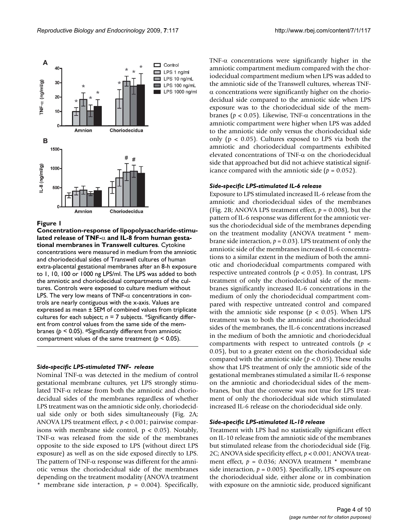<span id="page-3-0"></span>

#### Figure 1

**Concentration-response of lipopolysaccharide-stimulated release of TNF-**α **and IL-8 from human gestational membranes in Transwell cultures**. Cytokine concentrations were measured in medium from the amniotic and choriodecidual sides of Transwell cultures of human extra-placental gestational membranes after an 8-h exposure to 1, 10, 100 or 1000 ng LPS/ml. The LPS was added to both the amniotic and choriodecidual compartments of the cultures. Controls were exposed to culture medium without LPS. The very low means of TNF- $\alpha$  concentrations in controls are nearly contiguous with the x-axis. Values are expressed as mean ± SEM of combined values from triplicate cultures for each subject;  $n = 7$  subjects. \*Significantly different from control values from the same side of the membranes (*p* < 0.05). #Significantly different from amniotic compartment values of the same treatment (*p* < 0.05).

#### *Side-specific LPS-stimulated TNF- release*

Nominal TNF-α was detected in the medium of control gestational membrane cultures, yet LPS strongly stimulated TNF-α release from both the amniotic and choriodecidual sides of the membranes regardless of whether LPS treatment was on the amniotic side only, choriodecidual side only or both sides simultaneously (Fig. [2](#page-4-0)A; ANOVA LPS treatment effect, *p* < 0.001; pairwise comparisons with membrane side control,  $p < 0.05$ ). Notably, TNF- $\alpha$  was released from the side of the membranes opposite to the side exposed to LPS (without direct LPS exposure) as well as on the side exposed directly to LPS. The pattern of TNF- $\alpha$  response was different for the amniotic versus the choriodecidual side of the membranes depending on the treatment modality (ANOVA treatment \* membrane side interaction,  $p = 0.004$ ). Specifically,

TNF- $\alpha$  concentrations were significantly higher in the amniotic compartment medium compared with the choriodecidual compartment medium when LPS was added to the amniotic side of the Transwell cultures, whereas TNFα concentrations were significantly higher on the choriodecidual side compared to the amniotic side when LPS exposure was to the choriodecidual side of the membranes (*p* < 0.05). Likewise, TNF-α concentrations in the amniotic compartment were higher when LPS was added to the amniotic side only versus the choriodecidual side only ( $p < 0.05$ ). Cultures exposed to LPS via both the amniotic and choriodecidual compartments exhibited elevated concentrations of TNF-α on the choriodecidual side that approached but did not achieve statistical significance compared with the amniotic side ( $p = 0.052$ ).

#### *Side-specific LPS-stimulated IL-6 release*

Exposure to LPS stimulated increased IL-6 release from the amniotic and choriodecidual sides of the membranes (Fig. [2B](#page-4-0); ANOVA LPS treatment effect,  $p = 0.008$ ), but the pattern of IL-6 response was different for the amniotic versus the choriodecidual side of the membranes depending on the treatment modality (ANOVA treatment \* membrane side interaction, *p* = 0.03). LPS treatment of only the amniotic side of the membranes increased IL-6 concentrations to a similar extent in the medium of both the amniotic and choriodecidual compartments compared with respective untreated controls (*p* < 0.05). In contrast, LPS treatment of only the choriodecidual side of the membranes significantly increased IL-6 concentrations in the medium of only the choriodecidual compartment compared with respective untreated control and compared with the amniotic side response ( $p < 0.05$ ). When LPS treatment was to both the amniotic and choriodecidual sides of the membranes, the IL-6 concentrations increased in the medium of both the amniotic and choriodecidual compartments with respect to untreated controls (*p* < 0.05), but to a greater extent on the choriodecidual side compared with the amniotic side ( $p < 0.05$ ). These results show that LPS treatment of only the amniotic side of the gestational membranes stimulated a similar IL-6 response on the amniotic and choriodecidual sides of the membranes, but that the converse was not true for LPS treatment of only the choriodecidual side which stimulated increased IL-6 release on the choriodecidual side only.

# *Side-specific LPS-stimulated IL-10 release*

Treatment with LPS had no statistically significant effect on IL-10 release from the amniotic side of the membranes but stimulated release from the choriodecidual side (Fig. [2](#page-4-0)C; ANOVA side specificity effect, *p* < 0.001; ANOVA treatment effect, *p* = 0.036; ANOVA treatment \* membrane side interaction,  $p = 0.005$ ). Specifically, LPS exposure on the choriodecidual side, either alone or in combination with exposure on the amniotic side, produced significant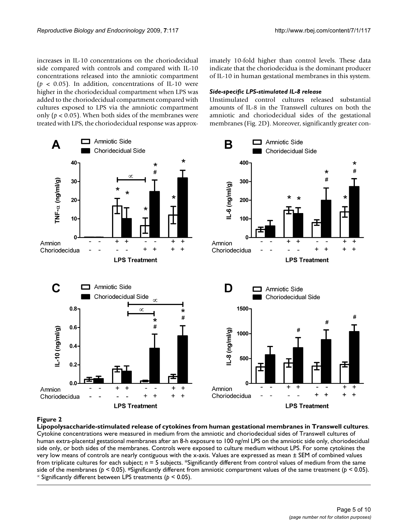increases in IL-10 concentrations on the choriodecidual side compared with controls and compared with IL-10 concentrations released into the amniotic compartment ( $p < 0.05$ ). In addition, concentrations of IL-10 were higher in the choriodecidual compartment when LPS was added to the choriodecidual compartment compared with cultures exposed to LPS via the amniotic compartment only ( $p < 0.05$ ). When both sides of the membranes were treated with LPS, the choriodecidual response was approximately 10-fold higher than control levels. These data indicate that the choriodecidua is the dominant producer of IL-10 in human gestational membranes in this system.

## *Side-specific LPS-stimulated IL-8 release*

Unstimulated control cultures released substantial amounts of IL-8 in the Transwell cultures on both the amniotic and choriodecidual sides of the gestational membranes (Fig. [2](#page-4-0)D). Moreover, significantly greater con-

<span id="page-4-0"></span>

# Lipopolysaccharide-stimulated **Figure 2** release of cytokines from human gestational membranes in Transwell cultures

**Lipopolysaccharide-stimulated release of cytokines from human gestational membranes in Transwell cultures**. Cytokine concentrations were measured in medium from the amniotic and choriodecidual sides of Transwell cultures of human extra-placental gestational membranes after an 8-h exposure to 100 ng/ml LPS on the amniotic side only, choriodecidual side only, or both sides of the membranes. Controls were exposed to culture medium without LPS. For some cytokines the very low means of controls are nearly contiguous with the x-axis. Values are expressed as mean ± SEM of combined values from triplicate cultures for each subject; *n* = 5 subjects. \*Significantly different from control values of medium from the same side of the membranes ( $p < 0.05$ ). #Significantly different from amniotic compartment values of the same treatment ( $p < 0.05$ ). <sup>∝</sup> Significantly different between LPS treatments (*p* < 0.05).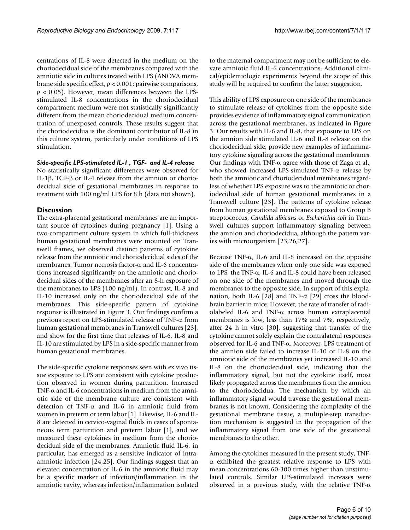centrations of IL-8 were detected in the medium on the choriodecidual side of the membranes compared with the amniotic side in cultures treated with LPS (ANOVA membrane side specific effect, *p* < 0.001; pairwise comparisons,  $p < 0.05$ ). However, mean differences between the LPSstimulated IL-8 concentrations in the choriodecidual compartment medium were not statistically significantly different from the mean choriodecidual medium concentration of unexposed controls. These results suggest that the choriodecidua is the dominant contributor of IL-8 in this culture system, particularly under conditions of LPS stimulation.

## *Side-specific LPS-stimulated IL-1 , TGF- and IL-4 release*

No statistically significant differences were observed for IL-1β, TGF-β or IL-4 release from the amnion or choriodecidual side of gestational membranes in response to treatment with 100 ng/ml LPS for 8 h (data not shown).

# **Discussion**

The extra-placental gestational membranes are an important source of cytokines during pregnancy [\[1](#page-8-0)]. Using a two-compartment culture system in which full-thickness human gestational membranes were mounted on Transwell frames, we observed distinct patterns of cytokine release from the amniotic and choriodecidual sides of the membranes. Tumor necrosis factor-α and IL-6 concentrations increased significantly on the amniotic and choriodecidual sides of the membranes after an 8-h exposure of the membranes to LPS (100 ng/ml). In contrast, IL-8 and IL-10 increased only on the choriodecidual side of the membranes. This side-specific pattern of cytokine response is illustrated in Figure [3.](#page-6-0) Our findings confirm a previous report on LPS-stimulated release of TNF-α from human gestational membranes in Transwell cultures [\[23](#page-8-15)], and show for the first time that releases of IL-6, IL-8 and IL-10 are stimulated by LPS in a side-specific manner from human gestational membranes.

The side-specific cytokine responses seen with ex vivo tissue exposure to LPS are consistent with cytokine production observed in women during parturition. Increased TNF- $\alpha$  and IL-6 concentrations in medium from the amniotic side of the membrane culture are consistent with detection of TNF-α and IL-6 in amniotic fluid from women in preterm or term labor [\[1\]](#page-8-0). Likewise, IL-6 and IL-8 are detected in cervico-vaginal fluids in cases of spontaneous term parturition and preterm labor [[1](#page-8-0)], and we measured these cytokines in medium from the choriodecidual side of the membranes. Amniotic fluid IL-6, in particular, has emerged as a sensitive indicator of intraamniotic infection [[24](#page-8-16),[25\]](#page-8-17). Our findings suggest that an elevated concentration of IL-6 in the amniotic fluid may be a specific marker of infection/inflammation in the amniotic cavity, whereas infection/inflammation isolated

to the maternal compartment may not be sufficient to elevate amniotic fluid IL-6 concentrations. Additional clinical/epidemiologic experiments beyond the scope of this study will be required to confirm the latter suggestion.

This ability of LPS exposure on one side of the membranes to stimulate release of cytokines from the opposite side provides evidence of inflammatory signal communication across the gestational membranes, as indicated in Figure [3](#page-6-0). Our results with IL-6 and IL-8, that exposure to LPS on the amnion side stimulated IL-6 and IL-8 release on the choriodecidual side, provide new examples of inflammatory cytokine signaling across the gestational membranes. Our findings with TNF- $\alpha$  agree with those of Zaga et al., who showed increased LPS-simulated TNF-α release by both the amniotic and choriodecidual membranes regardless of whether LPS exposure was to the amniotic or choriodecidual side of human gestational membranes in a Transwell culture [\[23](#page-8-15)]. The patterns of cytokine release from human gestational membranes exposed to Group B streptococcus, *Candida albicans* or *Escherichia coli* in Transwell cultures support inflammatory signaling between the amnion and choriodecidua, although the pattern varies with microorganism [\[23](#page-8-15),[26,](#page-8-18)[27\]](#page-8-19).

Because TNF- $\alpha$ , IL-6 and IL-8 increased on the opposite side of the membranes when only one side was exposed to LPS, the TNF-α, IL-6 and IL-8 could have been released on one side of the membranes and moved through the membranes to the opposite side. In support of this expla-nation, both IL-6 [[28](#page-9-0)] and TNF- $\alpha$  [\[29](#page-9-1)] cross the bloodbrain barrier in mice. However, the rate of transfer of radiolabeled IL-6 and TNF-α across human extraplacental membranes is low, less than 17% and 7%, respectively, after 24 h in vitro [[30\]](#page-9-2), suggesting that transfer of the cytokine cannot solely explain the contralateral responses observed for IL-6 and TNF-α. Moreover, LPS treatment of the amnion side failed to increase IL-10 or IL-8 on the amniotic side of the membranes yet increased IL-10 and IL-8 on the choriodecidual side, indicating that the inflammatory signal, but not the cytokine itself, most likely propagated across the membranes from the amnion to the choriodecidua. The mechanism by which an inflammatory signal would traverse the gestational membranes is not known. Considering the complexity of the gestational membrane tissue, a multiple-step transduction mechanism is suggested in the propagation of the inflammatory signal from one side of the gestational membranes to the other.

Among the cytokines measured in the present study, TNFα exhibited the greatest relative response to LPS with mean concentrations 60-300 times higher than unstimulated controls. Similar LPS-stimulated increases were observed in a previous study, with the relative TNF- $\alpha$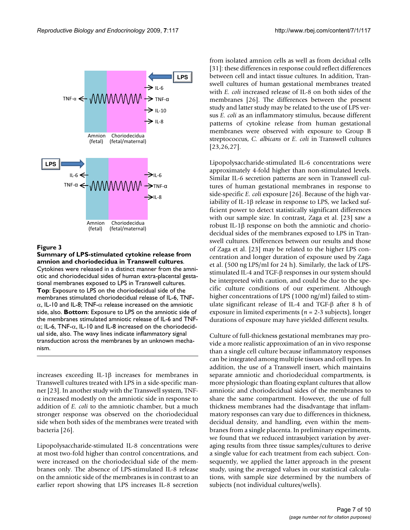<span id="page-6-0"></span>

## **Figure 3**

**Summary of LPS-stimulated cytokine release from amnion and choriodecidua in Transwell cultures**. Cytokines were released in a distinct manner from the amniotic and choriodecidual sides of human extra-placental gestational membranes exposed to LPS in Transwell cultures. **Top**: Exposure to LPS on the choriodecidual side of the membranes stimulated choriodecidual release of IL-6, TNFα, IL-10 and IL-8; TNF-α release increased on the amniotic side, also. **Bottom**: Exposure to LPS on the amniotic side of the membranes stimulated amniotic release of IL-6 and TNFα; IL-6, TNF-α, IL-10 and IL-8 increased on the choriodecidual side, also. The wavy lines indicate inflammatory signal transduction across the membranes by an unknown mechanism.

increases exceeding IL-1β increases for membranes in Transwell cultures treated with LPS in a side-specific manner [\[23](#page-8-15)]. In another study with the Transwell system, TNF- $\alpha$  increased modestly on the amniotic side in response to addition of *E. coli* to the amniotic chamber, but a much stronger response was observed on the choriodecidual side when both sides of the membranes were treated with bacteria [\[26\]](#page-8-18).

Lipopolysaccharide-stimulated IL-8 concentrations were at most two-fold higher than control concentrations, and were increased on the choriodecidual side of the membranes only. The absence of LPS-stimulated IL-8 release on the amniotic side of the membranes is in contrast to an earlier report showing that LPS increases IL-8 secretion

from isolated amnion cells as well as from decidual cells [[31](#page-9-3)]: these differences in response could reflect differences between cell and intact tissue cultures. In addition, Transwell cultures of human gestational membranes treated with *E. coli* increased release of IL-8 on both sides of the membranes [\[26](#page-8-18)]. The differences between the present study and latter study may be related to the use of LPS versus *E. coli* as an inflammatory stimulus, because different patterns of cytokine release from human gestational membranes were observed with exposure to Group B streptococcus, *C. albicans* or *E. coli* in Transwell cultures [[23](#page-8-15),[26,](#page-8-18)[27](#page-8-19)].

Lipopolysaccharide-stimulated IL-6 concentrations were approximately 4-fold higher than non-stimulated levels. Similar IL-6 secretion patterns are seen in Transwell cultures of human gestational membranes in response to side-specific *E. coli* exposure [[26\]](#page-8-18). Because of the high variability of IL-1 $\beta$  release in response to LPS, we lacked sufficient power to detect statistically significant differences with our sample size. In contrast, Zaga et al. [\[23](#page-8-15)] saw a robust IL-1β response on both the amniotic and choriodecidual sides of the membranes exposed to LPS in Transwell cultures. Differences between our results and those of Zaga et al. [\[23\]](#page-8-15) may be related to the higher LPS concentration and longer duration of exposure used by Zaga et al. (500 ng LPS/ml for 24 h). Similarly, the lack of LPSstimulated IL-4 and TGF-β responses in our system should be interpreted with caution, and could be due to the specific culture conditions of our experiment. Although higher concentrations of LPS (1000 ng/ml) failed to stimulate significant release of IL-4 and TGF-β after 8 h of exposure in limited experiments (*n* = 2-3 subjects), longer durations of exposure may have yielded different results.

Culture of full-thickness gestational membranes may provide a more realistic approximation of an in vivo response than a single cell culture because inflammatory responses can be integrated among multiple tissues and cell types. In addition, the use of a Transwell insert, which maintains separate amniotic and choriodecidual compartments, is more physiologic than floating explant cultures that allow amniotic and choriodecidual sides of the membranes to share the same compartment. However, the use of full thickness membranes had the disadvantage that inflammatory responses can vary due to differences in thickness, decidual density, and handling, even within the membranes from a single placenta. In preliminary experiments, we found that we reduced intrasubject variation by averaging results from three tissue samples/cultures to derive a single value for each treatment from each subject. Consequently, we applied the latter approach in the present study, using the averaged values in our statistical calculations, with sample size determined by the numbers of subjects (not individual cultures/wells).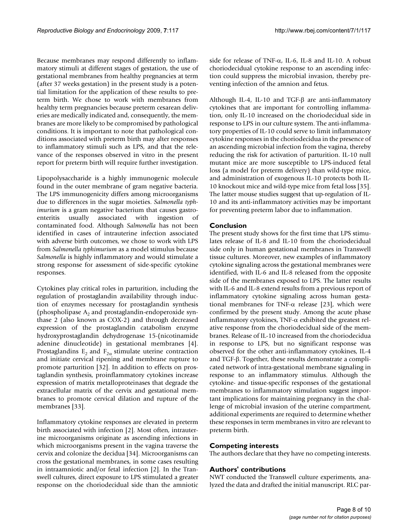Because membranes may respond differently to inflammatory stimuli at different stages of gestation, the use of gestational membranes from healthy pregnancies at term (after 37 weeks gestation) in the present study is a potential limitation for the application of these results to preterm birth. We chose to work with membranes from healthy term pregnancies because preterm cesarean deliveries are medically indicated and, consequently, the membranes are more likely to be compromised by pathological conditions. It is important to note that pathological conditions associated with preterm birth may alter responses to inflammatory stimuli such as LPS, and that the relevance of the responses observed in vitro in the present report for preterm birth will require further investigation.

Lipopolysaccharide is a highly immunogenic molecule found in the outer membrane of gram negative bacteria. The LPS immunogenicity differs among microorganisms due to differences in the sugar moieties. *Salmonella typhimurium* is a gram negative bacterium that causes gastroenteritis usually associated with ingestion of contaminated food. Although *Salmonella* has not been identified in cases of intrauterine infection associated with adverse birth outcomes, we chose to work with LPS from *Salmonella typhimurium* as a model stimulus because *Salmonella* is highly inflammatory and would stimulate a strong response for assessment of side-specific cytokine responses.

Cytokines play critical roles in parturition, including the regulation of prostaglandin availability through induction of enzymes necessary for prostaglandin synthesis (phospholipase  $A_2$  and prostaglandin-endoperoxide synthase 2 (also known as COX-2) and through decreased expression of the prostaglandin catabolism enzyme hydroxyprostaglandin dehydrogenase 15-(nicotinamide adenine dinucleotide) in gestational membranes [[4](#page-8-3)]. Prostaglandins  $E_2$  and  $F_{2\alpha}$  stimulate uterine contraction and initiate cervical ripening and membrane rupture to promote parturition [\[32](#page-9-4)]. In addition to effects on prostaglandin synthesis, proinflammatory cytokines increase expression of matrix metalloproteinases that degrade the extracellular matrix of the cervix and gestational membranes to promote cervical dilation and rupture of the membranes [[33](#page-9-5)].

Inflammatory cytokine responses are elevated in preterm birth associated with infection [[2](#page-8-1)]. Most often, intrauterine microorganisms originate as ascending infections in which microorganisms present in the vagina traverse the cervix and colonize the decidua [\[34](#page-9-6)]. Microorganisms can cross the gestational membranes, in some cases resulting in intraamniotic and/or fetal infection [[2\]](#page-8-1). In the Transwell cultures, direct exposure to LPS stimulated a greater response on the choriodecidual side than the amniotic side for release of TNF- $\alpha$ , IL-6, IL-8 and IL-10. A robust choriodecidual cytokine response to an ascending infection could suppress the microbial invasion, thereby preventing infection of the amnion and fetus.

Although IL-4, IL-10 and TGF-β are anti-inflammatory cytokines that are important for controlling inflammation, only IL-10 increased on the choriodecidual side in response to LPS in our culture system. The anti-inflammatory properties of IL-10 could serve to limit inflammatory cytokine responses in the choriodecidua in the presence of an ascending microbial infection from the vagina, thereby reducing the risk for activation of parturition. IL-10 null mutant mice are more susceptible to LPS-induced fetal loss (a model for preterm delivery) than wild-type mice, and administration of exogenous IL-10 protects both IL-10 knockout mice and wild-type mice from fetal loss [\[35](#page-9-7)]. The latter mouse studies suggest that up-regulation of IL-10 and its anti-inflammatory activities may be important for preventing preterm labor due to inflammation.

# **Conclusion**

The present study shows for the first time that LPS stimulates release of IL-8 and IL-10 from the choriodecidual side only in human gestational membranes in Transwell tissue cultures. Moreover, new examples of inflammatory cytokine signaling across the gestational membranes were identified, with IL-6 and IL-8 released from the opposite side of the membranes exposed to LPS. The latter results with IL-6 and IL-8 extend results from a previous report of inflammatory cytokine signaling across human gestational membranes for TNF- $α$  release [\[23](#page-8-15)], which were confirmed by the present study. Among the acute phase inflammatory cytokines, TNF-α exhibited the greatest relative response from the choriodecidual side of the membranes. Release of IL-10 increased from the choriodecidua in response to LPS, but no significant response was observed for the other anti-inflammatory cytokines, IL-4 and TGF-β. Together, these results demonstrate a complicated network of intra-gestational membrane signaling in response to an inflammatory stimulus. Although the cytokine- and tissue-specific responses of the gestational membranes to inflammatory stimulation suggest important implications for maintaining pregnancy in the challenge of microbial invasion of the uterine compartment, additional experiments are required to determine whether these responses in term membranes in vitro are relevant to preterm birth.

# **Competing interests**

The authors declare that they have no competing interests.

# **Authors' contributions**

NWT conducted the Transwell culture experiments, analyzed the data and drafted the initial manuscript. RLC par-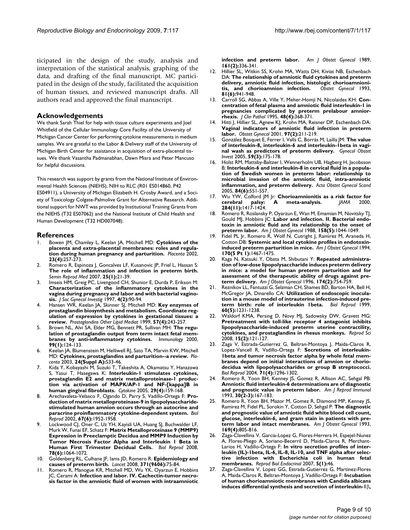ticipated in the design of the study, analysis and interpretation of the statistical analysis, graphing of the data, and drafting of the final manuscript. MC participated in the design of the study, facilitated the acquisition of human tissues, and reviewed manuscript drafts. All authors read and approved the final manuscript.

### **Acknowledgements**

We thank Sarah Thiel for help with tissue culture experiments and Joel Whitfield of the Cellular Immunology Core Facility of the University of Michigan Cancer Center for performing cytokine measurements in medium samples. We are grateful to the Labor & Delivery staff of the University of Michigan Birth Center for assistance in acquisition of extra-placental tissues. We thank Vasantha Padmanabhan, Dawn Misra and Peter Mancuso for helpful discussions.

This research was support by grants from the National Institute of Environmental Health Sciences (NIEHS), NIH to RLC (R01 ES014860, P42

ES04911), a University of Michigan Elizabeth H. Crosby Award, and a Society of Toxicology Colgate-Palmolive Grant for Alternative Research. Additional support for NWT was provided by Institutional Training Grants from the NIEHS (T32 ES07062) and the National Institute of Child Health and Human Development (T32 HD007048).

#### **References**

- <span id="page-8-0"></span>1. Bowen JM, Chamley L, Keelan JA, Mitchell MD: **[Cytokines of the](http://www.ncbi.nlm.nih.gov/entrez/query.fcgi?cmd=Retrieve&db=PubMed&dopt=Abstract&list_uids=11969336) [placenta and extra-placental membranes: roles and regula](http://www.ncbi.nlm.nih.gov/entrez/query.fcgi?cmd=Retrieve&db=PubMed&dopt=Abstract&list_uids=11969336)[tion during human pregnancy and parturition.](http://www.ncbi.nlm.nih.gov/entrez/query.fcgi?cmd=Retrieve&db=PubMed&dopt=Abstract&list_uids=11969336)** *Placenta* 2002, **23(4):**257-273.
- <span id="page-8-1"></span>2. Romero R, Espinoza J, Goncalves LF, Kusanovic JP, Friel L, Hassan S: **[The role of inflammation and infection in preterm birth.](http://www.ncbi.nlm.nih.gov/entrez/query.fcgi?cmd=Retrieve&db=PubMed&dopt=Abstract&list_uids=17205421)** *Semin Reprod Med* 2007, **25(1):**21-39.
- <span id="page-8-2"></span>3. Imseis HM, Greig PC, Livengood CH, Shunior E, Durda P, Erikson M: **[Characterization of the inflammatory cytokines in the](http://www.ncbi.nlm.nih.gov/entrez/query.fcgi?cmd=Retrieve&db=PubMed&dopt=Abstract&list_uids=9101468) vagina during pregnancy and labor and with bacterial vagino[sis.](http://www.ncbi.nlm.nih.gov/entrez/query.fcgi?cmd=Retrieve&db=PubMed&dopt=Abstract&list_uids=9101468)** *J Soc Gynecol Investig* 1997, **4(2):**90-94.
- <span id="page-8-3"></span>4. Hansen WR, Keelan JA, Skinner SJ, Mitchell MD: **[Key enzymes of](http://www.ncbi.nlm.nih.gov/entrez/query.fcgi?cmd=Retrieve&db=PubMed&dopt=Abstract&list_uids=10402218) [prostaglandin biosynthesis and metabolism. Coordinate reg](http://www.ncbi.nlm.nih.gov/entrez/query.fcgi?cmd=Retrieve&db=PubMed&dopt=Abstract&list_uids=10402218)ulation of expression by cytokines in gestational tissues: a [review.](http://www.ncbi.nlm.nih.gov/entrez/query.fcgi?cmd=Retrieve&db=PubMed&dopt=Abstract&list_uids=10402218)** *Prostaglandins Other Lipid Mediat* 1999, **57(4):**243-257.
- 5. Brown NL, Alvi SA, Elder MG, Bennett PR, Sullivan MH: **[The regu](http://www.ncbi.nlm.nih.gov/entrez/query.fcgi?cmd=Retrieve&db=PubMed&dopt=Abstract&list_uids=10651950)[lation of prostaglandin output from term intact fetal mem](http://www.ncbi.nlm.nih.gov/entrez/query.fcgi?cmd=Retrieve&db=PubMed&dopt=Abstract&list_uids=10651950)[branes by anti-inflammatory cytokines.](http://www.ncbi.nlm.nih.gov/entrez/query.fcgi?cmd=Retrieve&db=PubMed&dopt=Abstract&list_uids=10651950)** *Immunology* 2000, **99(1):**124-133.
- Keelan JA, Blumenstein M, Helliwell RJ, Sato TA, Marvin KW, Mitchell MD: **[Cytokines, prostaglandins and parturition--a review.](http://www.ncbi.nlm.nih.gov/entrez/query.fcgi?cmd=Retrieve&db=PubMed&dopt=Abstract&list_uids=12842412)** *Placenta* 2003, **24(Suppl A):**S33-46.
- <span id="page-8-4"></span>7. Kida Y, Kobayashi M, Suzuki T, Takeshita A, Okamatsu Y, Hanazawa S, Yasui T, Hasegawa K: **[Interleukin-1 stimulates cytokines,](http://www.ncbi.nlm.nih.gov/entrez/query.fcgi?cmd=Retrieve&db=PubMed&dopt=Abstract&list_uids=15652448) [prostaglandin E2 and matrix metalloproteinase-1 produc](http://www.ncbi.nlm.nih.gov/entrez/query.fcgi?cmd=Retrieve&db=PubMed&dopt=Abstract&list_uids=15652448)tion via activation of MAPK/AP-1 and NF-[kappa]B in [human gingival fibroblasts.](http://www.ncbi.nlm.nih.gov/entrez/query.fcgi?cmd=Retrieve&db=PubMed&dopt=Abstract&list_uids=15652448)** *Cytokine* 2005, **29(4):**159-168.
- 8. Arechavaleta-Velasco F, Ogando D, Parry S, Vadillo-Ortega F: **[Pro](http://www.ncbi.nlm.nih.gov/entrez/query.fcgi?cmd=Retrieve&db=PubMed&dopt=Abstract&list_uids=12444074)[duction of matrix metalloproteinase-9 in lipopolysaccharide](http://www.ncbi.nlm.nih.gov/entrez/query.fcgi?cmd=Retrieve&db=PubMed&dopt=Abstract&list_uids=12444074)stimulated human amnion occurs through an autocrine and [paracrine proinflammatory cytokine-dependent system.](http://www.ncbi.nlm.nih.gov/entrez/query.fcgi?cmd=Retrieve&db=PubMed&dopt=Abstract&list_uids=12444074)** *Biol Reprod* 2002, **67(6):**1952-1958.
- <span id="page-8-5"></span>9. Lockwood CJ, Oner C, Uz YH, Kayisli UA, Huang SJ, Buchwalder LF, Murk W, Funai EF, Schatz F: **[Matrix Metalloproteinase 9 \(MMP9\)](http://www.ncbi.nlm.nih.gov/entrez/query.fcgi?cmd=Retrieve&db=PubMed&dopt=Abstract&list_uids=18276934) [Expression in Preeclamptic Decidua and MMP9 Induction by](http://www.ncbi.nlm.nih.gov/entrez/query.fcgi?cmd=Retrieve&db=PubMed&dopt=Abstract&list_uids=18276934) Tumor Necrosis Factor Alpha and Interleukin 1 Beta in [Human First Trimester Decidual Cells.](http://www.ncbi.nlm.nih.gov/entrez/query.fcgi?cmd=Retrieve&db=PubMed&dopt=Abstract&list_uids=18276934)** *Biol Reprod* 2008, **78(6):**1064-1072.
- <span id="page-8-6"></span>10. Goldenberg RL, Culhane JF, Iams JD, Romero R: **[Epidemiology and](http://www.ncbi.nlm.nih.gov/entrez/query.fcgi?cmd=Retrieve&db=PubMed&dopt=Abstract&list_uids=18177778) [causes of preterm birth.](http://www.ncbi.nlm.nih.gov/entrez/query.fcgi?cmd=Retrieve&db=PubMed&dopt=Abstract&list_uids=18177778)** *Lancet* 2008, **371(9606):**75-84.
- <span id="page-8-7"></span>11. Romero R, Manogue KR, Mitchell MD, Wu YK, Oyarzun E, Hobbins JC, Cerami A: **[Infection and labor. IV. Cachectin-tumor necro](http://www.ncbi.nlm.nih.gov/entrez/query.fcgi?cmd=Retrieve&db=PubMed&dopt=Abstract&list_uids=2764054)[sis factor in the amniotic fluid of women with intraamniotic](http://www.ncbi.nlm.nih.gov/entrez/query.fcgi?cmd=Retrieve&db=PubMed&dopt=Abstract&list_uids=2764054)**

**[infection and preterm labor.](http://www.ncbi.nlm.nih.gov/entrez/query.fcgi?cmd=Retrieve&db=PubMed&dopt=Abstract&list_uids=2764054)** *Am J Obstet Gynecol* 1989, **161(2):**336-341.

- 12. Hillier SL, Witkin SS, Krohn MA, Watts DH, Kiviat NB, Eschenbach DA: **[The relationship of amniotic fluid cytokines and preterm](http://www.ncbi.nlm.nih.gov/entrez/query.fcgi?cmd=Retrieve&db=PubMed&dopt=Abstract&list_uids=8497360) [delivery, amniotic fluid infection, histologic chorioamnioni](http://www.ncbi.nlm.nih.gov/entrez/query.fcgi?cmd=Retrieve&db=PubMed&dopt=Abstract&list_uids=8497360)[tis, and chorioamnion infection.](http://www.ncbi.nlm.nih.gov/entrez/query.fcgi?cmd=Retrieve&db=PubMed&dopt=Abstract&list_uids=8497360)** *Obstet Gynecol* 1993, **81(6):**941-948.
- 13. Carroll SG, Abbas A, Ville Y, Meher-Homji N, Nicolaides KH: **[Con](http://www.ncbi.nlm.nih.gov/entrez/query.fcgi?cmd=Retrieve&db=PubMed&dopt=Abstract&list_uids=7615859)[centration of fetal plasma and amniotic fluid interleukin-1 in](http://www.ncbi.nlm.nih.gov/entrez/query.fcgi?cmd=Retrieve&db=PubMed&dopt=Abstract&list_uids=7615859) pregnancies complicated by preterm prelabour amnior[rhexis.](http://www.ncbi.nlm.nih.gov/entrez/query.fcgi?cmd=Retrieve&db=PubMed&dopt=Abstract&list_uids=7615859)** *J Clin Pathol* 1995, **48(4):**368-371.
- 14. Hitti J, Hillier SL, Agnew KJ, Krohn MA, Reisner DP, Eschenbach DA: **[Vaginal indicators of amniotic fluid infection in preterm](http://www.ncbi.nlm.nih.gov/entrez/query.fcgi?cmd=Retrieve&db=PubMed&dopt=Abstract&list_uids=11165584) [labor.](http://www.ncbi.nlm.nih.gov/entrez/query.fcgi?cmd=Retrieve&db=PubMed&dopt=Abstract&list_uids=11165584)** *Obstet Gynecol* 2001, **97(2):**211-219.
- 15. González Bosquet E, Ferrer I, Valls C, Borrás M, Lailla JM: **[The value](http://www.ncbi.nlm.nih.gov/entrez/query.fcgi?cmd=Retrieve&db=PubMed&dopt=Abstract&list_uids=15746552) [of interleukin-8, interleukin-6 and interleukin-1beta in vagi](http://www.ncbi.nlm.nih.gov/entrez/query.fcgi?cmd=Retrieve&db=PubMed&dopt=Abstract&list_uids=15746552)[nal wash as predictors of preterm delivery.](http://www.ncbi.nlm.nih.gov/entrez/query.fcgi?cmd=Retrieve&db=PubMed&dopt=Abstract&list_uids=15746552)** *Gynecol Obstet Invest* 2005, **59(3):**175-178.
- <span id="page-8-8"></span>16. Holst RM, Mattsby-Baltzer I, Wennerholm UB, Hagberg H, Jacobsson B: **[Interleukin-6 and interleukin-8 in cervical fluid in a popula](http://www.ncbi.nlm.nih.gov/entrez/query.fcgi?cmd=Retrieve&db=PubMed&dopt=Abstract&list_uids=15901266)[tion of Swedish women in preterm labor: relationship to](http://www.ncbi.nlm.nih.gov/entrez/query.fcgi?cmd=Retrieve&db=PubMed&dopt=Abstract&list_uids=15901266) microbial invasion of the amniotic fluid, intra-amniotic [inflammation, and preterm delivery.](http://www.ncbi.nlm.nih.gov/entrez/query.fcgi?cmd=Retrieve&db=PubMed&dopt=Abstract&list_uids=15901266)** *Acta Obstet Gynecol Scand* 2005, **84(6):**551-557.
- <span id="page-8-9"></span>17. Wu YW, Colford JM Jr: **[Chorioamnionitis as a risk factor for](http://www.ncbi.nlm.nih.gov/entrez/query.fcgi?cmd=Retrieve&db=PubMed&dopt=Abstract&list_uids=10989405) [cerebral palsy: A meta-analysis.](http://www.ncbi.nlm.nih.gov/entrez/query.fcgi?cmd=Retrieve&db=PubMed&dopt=Abstract&list_uids=10989405)** *JAMA* 2000, **284(11):**1417-1424.
- <span id="page-8-10"></span>18. Romero R, Roslansky P, Oyarzun E, Wan M, Emamian M, Novitsky TJ, Gould MJ, Hobbins JC: **[Labor and infection. II. Bacterial endo](http://www.ncbi.nlm.nih.gov/entrez/query.fcgi?cmd=Retrieve&db=PubMed&dopt=Abstract&list_uids=3369483)[toxin in amniotic fluid and its relationship to the onset of](http://www.ncbi.nlm.nih.gov/entrez/query.fcgi?cmd=Retrieve&db=PubMed&dopt=Abstract&list_uids=3369483) [preterm labor.](http://www.ncbi.nlm.nih.gov/entrez/query.fcgi?cmd=Retrieve&db=PubMed&dopt=Abstract&list_uids=3369483)** *Am J Obstet Gynecol* 1988, **158(5):**1044-1049.
- <span id="page-8-11"></span>Fidel PL Jr, Romero R, Wolf N, Cutright J, Ramirez M, Araneda H, Cotton DB: **[Systemic and local cytokine profiles in endotoxin](http://www.ncbi.nlm.nih.gov/entrez/query.fcgi?cmd=Retrieve&db=PubMed&dopt=Abstract&list_uids=8178889)[induced preterm parturition in mice.](http://www.ncbi.nlm.nih.gov/entrez/query.fcgi?cmd=Retrieve&db=PubMed&dopt=Abstract&list_uids=8178889)** *Am J Obstet Gynecol* 1994, **170(5 Pt 1):**1467-1475.
- <span id="page-8-12"></span>20. Kaga N, Katsuki Y, Obata M, Shibutani Y: **[Repeated administra](http://www.ncbi.nlm.nih.gov/entrez/query.fcgi?cmd=Retrieve&db=PubMed&dopt=Abstract&list_uids=8623817)[tion of low-dose lipopolysaccharide induces preterm delivery](http://www.ncbi.nlm.nih.gov/entrez/query.fcgi?cmd=Retrieve&db=PubMed&dopt=Abstract&list_uids=8623817) in mice: a model for human preterm parturition and for assessment of the therapeutic ability of drugs against pre[term delivery.](http://www.ncbi.nlm.nih.gov/entrez/query.fcgi?cmd=Retrieve&db=PubMed&dopt=Abstract&list_uids=8623817)** *Am J Obstet Gynecol* 1996, **174(2):**754-759.
- <span id="page-8-13"></span>21. Reznikov LL, Fantuzzi G, Selzman CH, Shames BD, Barton HA, Bell H, McGregor JA, Dinarello CA: **[Utilization of endoscopic inocula](http://www.ncbi.nlm.nih.gov/entrez/query.fcgi?cmd=Retrieve&db=PubMed&dopt=Abstract&list_uids=10208989)[tion in a mouse model of intrauterine infection-induced pre](http://www.ncbi.nlm.nih.gov/entrez/query.fcgi?cmd=Retrieve&db=PubMed&dopt=Abstract&list_uids=10208989)[term birth: role of interleukin 1beta.](http://www.ncbi.nlm.nih.gov/entrez/query.fcgi?cmd=Retrieve&db=PubMed&dopt=Abstract&list_uids=10208989)** *Biol Reprod* 1999, **60(5):**1231-1238.
- <span id="page-8-14"></span>Waldorf KMA, Persing D, Novy MJ, Sadowsky DW, Gravett MG: **[Pretreatment with toll-like receptor 4 antagonist inhibits](http://www.ncbi.nlm.nih.gov/entrez/query.fcgi?cmd=Retrieve&db=PubMed&dopt=Abstract&list_uids=18187405) lipopolysaccharide-induced preterm uterine contractility, [cytokines, and prostaglandins in rhesus monkeys.](http://www.ncbi.nlm.nih.gov/entrez/query.fcgi?cmd=Retrieve&db=PubMed&dopt=Abstract&list_uids=18187405)** *Reprod Sci* 2008, **15(2):**121-127.
- <span id="page-8-15"></span>23. Zaga V, Estrada-Gutierrez G, Beltran-Montoya J, Maida-Claros R, Lopez-Vancell R, Vadillo-Ortega F: **[Secretions of interleukin-](http://www.ncbi.nlm.nih.gov/entrez/query.fcgi?cmd=Retrieve&db=PubMed&dopt=Abstract&list_uids=15201199)1beta and tumor necrosis factor alpha by whole fetal mem[branes depend on initial interactions of amnion or chorio](http://www.ncbi.nlm.nih.gov/entrez/query.fcgi?cmd=Retrieve&db=PubMed&dopt=Abstract&list_uids=15201199)decidua with lipopolysaccharides or group B streptococci.** *Biol Reprod* 2004, **71(4):**1296-1302.
- <span id="page-8-16"></span>24. Romero R, Yoon BH, Kenney JS, Gomez R, Allison AC, Sehgal PB: **[Amniotic fluid interleukin-6 determinations are of diagnostic](http://www.ncbi.nlm.nih.gov/entrez/query.fcgi?cmd=Retrieve&db=PubMed&dopt=Abstract&list_uids=8311926) [and prognostic value in preterm labor.](http://www.ncbi.nlm.nih.gov/entrez/query.fcgi?cmd=Retrieve&db=PubMed&dopt=Abstract&list_uids=8311926)** *Am J Reprod Immunol* 1993, **30(2-3):**167-183.
- <span id="page-8-17"></span>25. Romero R, Yoon BH, Mazor M, Gomez R, Diamond MP, Kenney JS, Ramirez M, Fidel PL, Sorokin Y, Cotton D, Sehgal P: **[The diagnostic](http://www.ncbi.nlm.nih.gov/entrez/query.fcgi?cmd=Retrieve&db=PubMed&dopt=Abstract&list_uids=7694461) [and prognostic value of amniotic fluid white blood cell count,](http://www.ncbi.nlm.nih.gov/entrez/query.fcgi?cmd=Retrieve&db=PubMed&dopt=Abstract&list_uids=7694461) glucose, interleukin-6, and gram stain in patients with pre[term labor and intact membranes.](http://www.ncbi.nlm.nih.gov/entrez/query.fcgi?cmd=Retrieve&db=PubMed&dopt=Abstract&list_uids=7694461)** *Am J Obstet Gynecol* 1993, **169(4):**805-816.
- <span id="page-8-18"></span>26. Zaga-Clavellina V, Garcia-Lopez G, Flores-Herrera H, Espejel-Nunez A, Flores-Pliego A, Soriano-Becerril D, Maida-Claros R, Merchant-Larios H, Vadillo-Ortega F: **[In vitro secretion profiles of inter](http://www.ncbi.nlm.nih.gov/entrez/query.fcgi?cmd=Retrieve&db=PubMed&dopt=Abstract&list_uids=18078521)[leukin \(IL\)-1beta, IL-6, IL-8, IL-10, and TNF alpha after selec](http://www.ncbi.nlm.nih.gov/entrez/query.fcgi?cmd=Retrieve&db=PubMed&dopt=Abstract&list_uids=18078521)tive infection with Escherichia coli in human fetal [membranes.](http://www.ncbi.nlm.nih.gov/entrez/query.fcgi?cmd=Retrieve&db=PubMed&dopt=Abstract&list_uids=18078521)** *Reprod Biol Endocrinol* 2007, **5(1):**46.
- <span id="page-8-19"></span>Zaga-Clavellina V, Lopez GG, Estrada-Gutierrez G, Martinez-Flores A, Maida-Claros R, Beltran-Montoya J, Vadillo-Ortega F: **Incubation of human chorioamniotic membranes with Candida albicans induces differential synthesis and secretion of interleukin-1**β**[,](http://www.ncbi.nlm.nih.gov/entrez/query.fcgi?cmd=Retrieve&db=PubMed&dopt=Abstract&list_uids=16367811)**